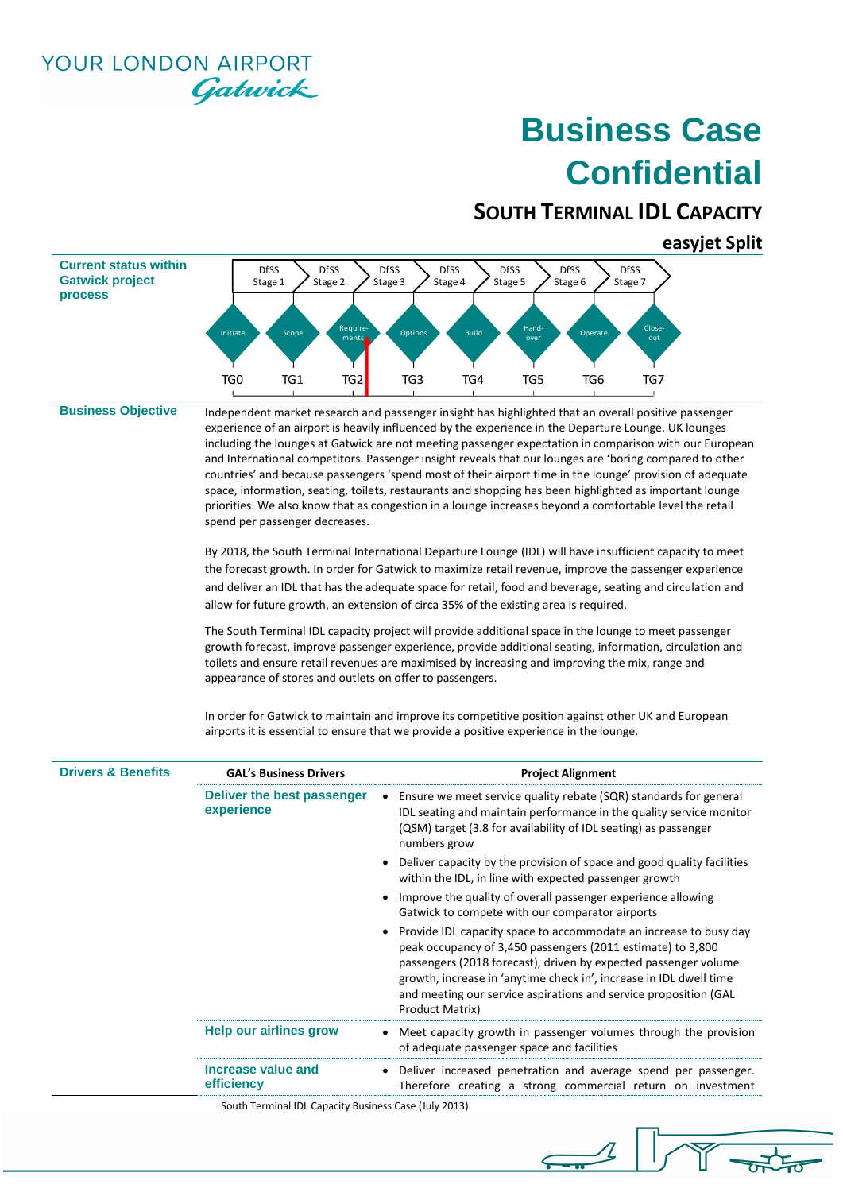**YOUR LONDON AIRPORT** Gatwick

# **Business Case Confidential**

### **SOUTH TERMINAL IDL CAPACITY**

#### **easyjet Split**



**Business Objective** Independent market research and passenger insight has highlighted that an overall positive passenger experience of an airport is heavily influenced by the experience in the Departure Lounge. UK lounges including the lounges at Gatwick are not meeting passenger expectation in comparison with our European and International competitors. Passenger insight reveals that our lounges are 'boring compared to other countries' and because passengers 'spend most of their airport time in the lounge' provision of adequate space, information, seating, toilets, restaurants and shopping has been highlighted as important lounge priorities. We also know that as congestion in a lounge increases beyond a comfortable level the retail spend per passenger decreases.

> By 2018, the South Terminal International Departure Lounge (IDL) will have insufficient capacity to meet the forecast growth. In order for Gatwick to maximize retail revenue, improve the passenger experience and deliver an IDL that has the adequate space for retail, food and beverage, seating and circulation and allow for future growth, an extension of circa 35% of the existing area is required.

> The South Terminal IDL capacity project will provide additional space in the lounge to meet passenger growth forecast, improve passenger experience, provide additional seating, information, circulation and toilets and ensure retail revenues are maximised by increasing and improving the mix, range and appearance of stores and outlets on offer to passengers.

In order for Gatwick to maintain and improve its competitive position against other UK and European airports it is essential to ensure that we provide a positive experience in the lounge.

 $\leftarrow$ 

| <b>Drivers &amp; Benefits</b> | <b>GAL's Business Drivers</b>                         | <b>Project Alignment</b>                                                                                                                                                                                                                                                                                                                                         |  |  |  |  |  |
|-------------------------------|-------------------------------------------------------|------------------------------------------------------------------------------------------------------------------------------------------------------------------------------------------------------------------------------------------------------------------------------------------------------------------------------------------------------------------|--|--|--|--|--|
|                               | Deliver the best passenger<br>experience              | Ensure we meet service quality rebate (SQR) standards for general<br>IDL seating and maintain performance in the quality service monitor<br>(QSM) target (3.8 for availability of IDL seating) as passenger<br>numbers grow                                                                                                                                      |  |  |  |  |  |
|                               |                                                       | Deliver capacity by the provision of space and good quality facilities<br>within the IDL, in line with expected passenger growth                                                                                                                                                                                                                                 |  |  |  |  |  |
|                               |                                                       | Improve the quality of overall passenger experience allowing<br>Gatwick to compete with our comparator airports                                                                                                                                                                                                                                                  |  |  |  |  |  |
|                               |                                                       | Provide IDL capacity space to accommodate an increase to busy day<br>peak occupancy of 3,450 passengers (2011 estimate) to 3,800<br>passengers (2018 forecast), driven by expected passenger volume<br>growth, increase in 'anytime check in', increase in IDL dwell time<br>and meeting our service aspirations and service proposition (GAL<br>Product Matrix) |  |  |  |  |  |
|                               | Help our airlines grow                                | Meet capacity growth in passenger volumes through the provision<br>of adequate passenger space and facilities                                                                                                                                                                                                                                                    |  |  |  |  |  |
|                               | Increase value and<br>efficiency                      | Deliver increased penetration and average spend per passenger.<br>Therefore creating a strong commercial return on investment                                                                                                                                                                                                                                    |  |  |  |  |  |
|                               | South Terminal IDL Capacity Business Case (July 2013) |                                                                                                                                                                                                                                                                                                                                                                  |  |  |  |  |  |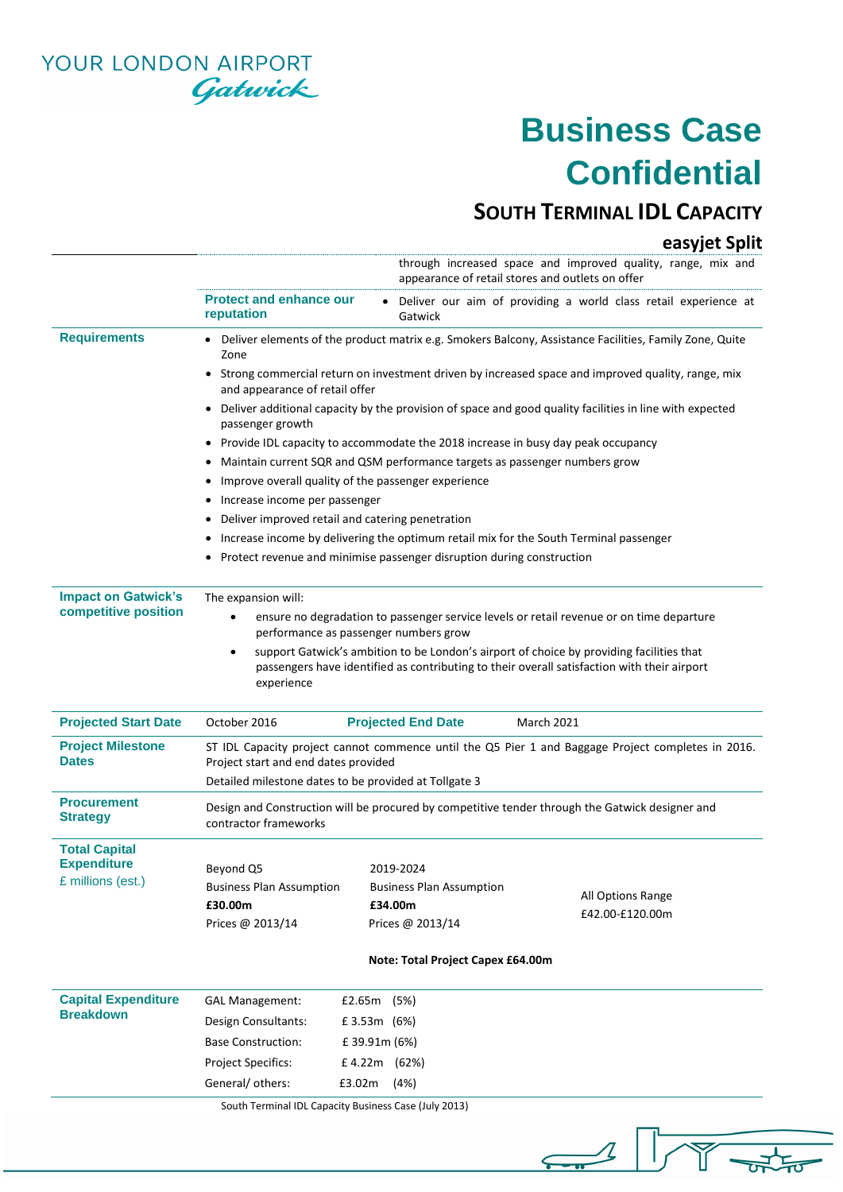YOUR LONDON AIRPORT Gatwick

# **Business Case Confidential**

### **SOUTH TERMINAL IDL CAPACITY**

#### **easyjet Split**

 $\frac{1}{\sqrt{2}}$ 

 $\sqrt{1-x^2}$ 

|                                                    |                                                                                                                                                                                                       |                                   | through increased space and improved quality, range, mix and<br>appearance of retail stores and outlets on offer |  |  |  |  |  |
|----------------------------------------------------|-------------------------------------------------------------------------------------------------------------------------------------------------------------------------------------------------------|-----------------------------------|------------------------------------------------------------------------------------------------------------------|--|--|--|--|--|
|                                                    | <b>Protect and enhance our</b><br>reputation                                                                                                                                                          | Gatwick                           | Deliver our aim of providing a world class retail experience at                                                  |  |  |  |  |  |
| <b>Requirements</b>                                | • Deliver elements of the product matrix e.g. Smokers Balcony, Assistance Facilities, Family Zone, Quite<br>Zone                                                                                      |                                   |                                                                                                                  |  |  |  |  |  |
|                                                    | Strong commercial return on investment driven by increased space and improved quality, range, mix<br>and appearance of retail offer                                                                   |                                   |                                                                                                                  |  |  |  |  |  |
|                                                    | Deliver additional capacity by the provision of space and good quality facilities in line with expected<br>passenger growth                                                                           |                                   |                                                                                                                  |  |  |  |  |  |
|                                                    |                                                                                                                                                                                                       |                                   | • Provide IDL capacity to accommodate the 2018 increase in busy day peak occupancy                               |  |  |  |  |  |
|                                                    | • Maintain current SQR and QSM performance targets as passenger numbers grow                                                                                                                          |                                   |                                                                                                                  |  |  |  |  |  |
|                                                    | Improve overall quality of the passenger experience                                                                                                                                                   |                                   |                                                                                                                  |  |  |  |  |  |
|                                                    | • Increase income per passenger                                                                                                                                                                       |                                   |                                                                                                                  |  |  |  |  |  |
|                                                    | Deliver improved retail and catering penetration                                                                                                                                                      |                                   |                                                                                                                  |  |  |  |  |  |
|                                                    | • Increase income by delivering the optimum retail mix for the South Terminal passenger                                                                                                               |                                   |                                                                                                                  |  |  |  |  |  |
|                                                    | • Protect revenue and minimise passenger disruption during construction                                                                                                                               |                                   |                                                                                                                  |  |  |  |  |  |
| <b>Impact on Gatwick's</b><br>competitive position | The expansion will:                                                                                                                                                                                   |                                   |                                                                                                                  |  |  |  |  |  |
|                                                    | ensure no degradation to passenger service levels or retail revenue or on time departure<br>performance as passenger numbers grow                                                                     |                                   |                                                                                                                  |  |  |  |  |  |
|                                                    | support Gatwick's ambition to be London's airport of choice by providing facilities that<br>passengers have identified as contributing to their overall satisfaction with their airport<br>experience |                                   |                                                                                                                  |  |  |  |  |  |
| <b>Projected Start Date</b>                        | October 2016                                                                                                                                                                                          | <b>Projected End Date</b>         | <b>March 2021</b>                                                                                                |  |  |  |  |  |
| <b>Project Milestone</b><br><b>Dates</b>           | ST IDL Capacity project cannot commence until the Q5 Pier 1 and Baggage Project completes in 2016.<br>Project start and end dates provided<br>Detailed milestone dates to be provided at Tollgate 3   |                                   |                                                                                                                  |  |  |  |  |  |
| <b>Procurement</b><br><b>Strategy</b>              | Design and Construction will be procured by competitive tender through the Gatwick designer and<br>contractor frameworks                                                                              |                                   |                                                                                                                  |  |  |  |  |  |
| <b>Total Capital</b>                               |                                                                                                                                                                                                       |                                   |                                                                                                                  |  |  |  |  |  |
| <b>Expenditure</b>                                 | Beyond Q5                                                                                                                                                                                             | 2019-2024                         |                                                                                                                  |  |  |  |  |  |
| £ millions (est.)                                  | <b>Business Plan Assumption</b>                                                                                                                                                                       | <b>Business Plan Assumption</b>   | All Options Range                                                                                                |  |  |  |  |  |
|                                                    | £30.00m                                                                                                                                                                                               | £34.00m                           |                                                                                                                  |  |  |  |  |  |
|                                                    |                                                                                                                                                                                                       |                                   | £42.00-£120.00m                                                                                                  |  |  |  |  |  |
|                                                    | Prices @ 2013/14                                                                                                                                                                                      | Prices @ 2013/14                  |                                                                                                                  |  |  |  |  |  |
|                                                    |                                                                                                                                                                                                       | Note: Total Project Capex £64.00m |                                                                                                                  |  |  |  |  |  |
| <b>Capital Expenditure</b>                         | <b>GAL Management:</b>                                                                                                                                                                                | £2.65m (5%)                       |                                                                                                                  |  |  |  |  |  |
| <b>Breakdown</b>                                   | Design Consultants:                                                                                                                                                                                   | £3.53m (6%)                       |                                                                                                                  |  |  |  |  |  |
|                                                    | <b>Base Construction:</b>                                                                                                                                                                             | £ 39.91m (6%)                     |                                                                                                                  |  |  |  |  |  |
|                                                    | <b>Project Specifics:</b>                                                                                                                                                                             | £4.22m (62%)                      |                                                                                                                  |  |  |  |  |  |

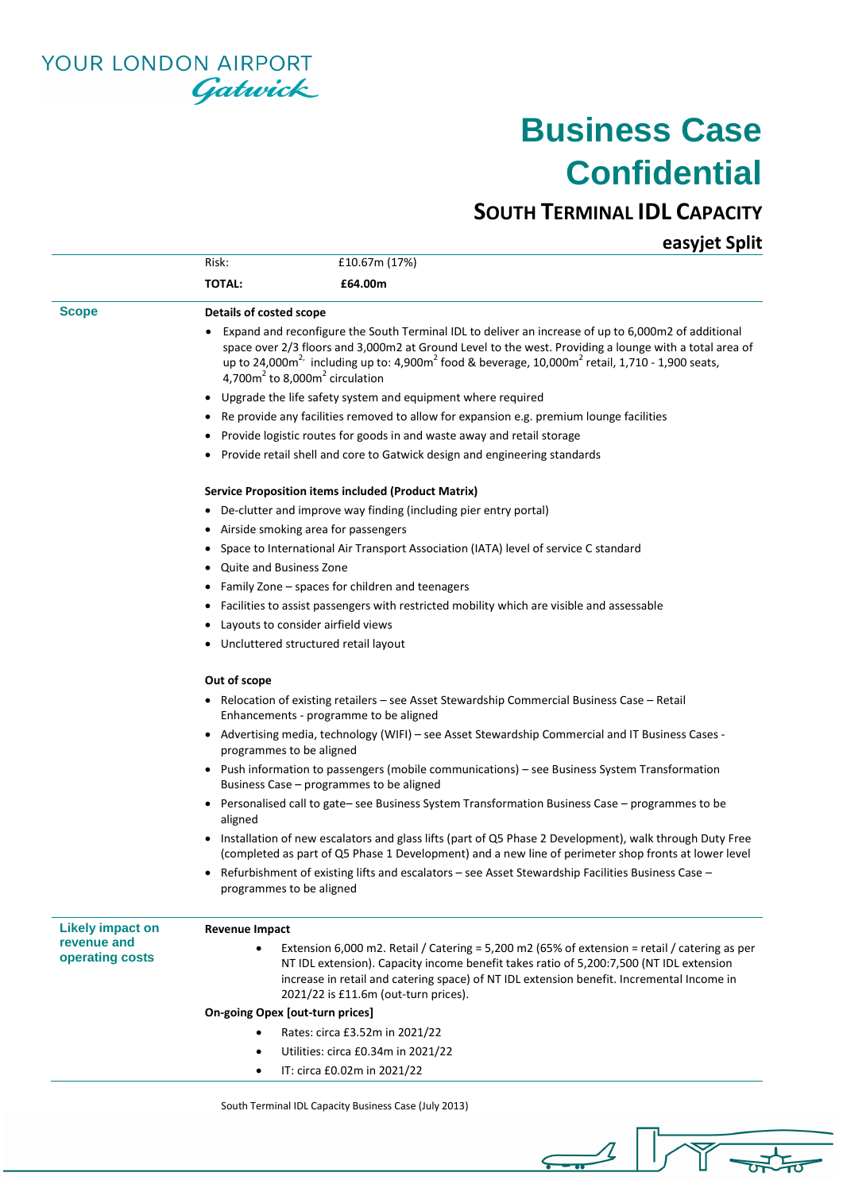

### **Business Case Confidential**

#### **SOUTH TERMINAL IDL CAPACITY**

**easyjet Split**

|                                | Risk:                                                                                                                                                                                                                                                                                                                                                              | £10.67m (17%)                                                                                   |  |  |  |  |  |  |
|--------------------------------|--------------------------------------------------------------------------------------------------------------------------------------------------------------------------------------------------------------------------------------------------------------------------------------------------------------------------------------------------------------------|-------------------------------------------------------------------------------------------------|--|--|--|--|--|--|
|                                | <b>TOTAL:</b><br>£64.00m                                                                                                                                                                                                                                                                                                                                           |                                                                                                 |  |  |  |  |  |  |
| <b>Scope</b>                   | Details of costed scope                                                                                                                                                                                                                                                                                                                                            |                                                                                                 |  |  |  |  |  |  |
|                                | Expand and reconfigure the South Terminal IDL to deliver an increase of up to 6,000m2 of additional<br>space over 2/3 floors and 3,000m2 at Ground Level to the west. Providing a lounge with a total area of<br>up to 24,000 $m^2$ including up to: 4,900 $m^2$ food & beverage, 10,000 $m^2$ retail, 1,710 - 1,900 seats,<br>$4,700m2$ to 8,000 $m2$ circulation |                                                                                                 |  |  |  |  |  |  |
|                                | Upgrade the life safety system and equipment where required<br>$\bullet$                                                                                                                                                                                                                                                                                           |                                                                                                 |  |  |  |  |  |  |
|                                | Re provide any facilities removed to allow for expansion e.g. premium lounge facilities<br>$\bullet$                                                                                                                                                                                                                                                               |                                                                                                 |  |  |  |  |  |  |
|                                | Provide logistic routes for goods in and waste away and retail storage                                                                                                                                                                                                                                                                                             |                                                                                                 |  |  |  |  |  |  |
|                                | ٠                                                                                                                                                                                                                                                                                                                                                                  | Provide retail shell and core to Gatwick design and engineering standards                       |  |  |  |  |  |  |
|                                |                                                                                                                                                                                                                                                                                                                                                                    | Service Proposition items included (Product Matrix)                                             |  |  |  |  |  |  |
|                                | ٠                                                                                                                                                                                                                                                                                                                                                                  | De-clutter and improve way finding (including pier entry portal)                                |  |  |  |  |  |  |
|                                | $\bullet$                                                                                                                                                                                                                                                                                                                                                          | Airside smoking area for passengers                                                             |  |  |  |  |  |  |
|                                |                                                                                                                                                                                                                                                                                                                                                                    | Space to International Air Transport Association (IATA) level of service C standard             |  |  |  |  |  |  |
|                                | Quite and Business Zone<br>٠                                                                                                                                                                                                                                                                                                                                       |                                                                                                 |  |  |  |  |  |  |
|                                | ٠                                                                                                                                                                                                                                                                                                                                                                  | Family Zone – spaces for children and teenagers                                                 |  |  |  |  |  |  |
|                                | Facilities to assist passengers with restricted mobility which are visible and assessable                                                                                                                                                                                                                                                                          |                                                                                                 |  |  |  |  |  |  |
|                                | Layouts to consider airfield views                                                                                                                                                                                                                                                                                                                                 |                                                                                                 |  |  |  |  |  |  |
|                                | Uncluttered structured retail layout<br>٠                                                                                                                                                                                                                                                                                                                          |                                                                                                 |  |  |  |  |  |  |
|                                | Out of scope                                                                                                                                                                                                                                                                                                                                                       |                                                                                                 |  |  |  |  |  |  |
|                                | • Relocation of existing retailers – see Asset Stewardship Commercial Business Case – Retail<br>Enhancements - programme to be aligned                                                                                                                                                                                                                             |                                                                                                 |  |  |  |  |  |  |
|                                | • Advertising media, technology (WIFI) - see Asset Stewardship Commercial and IT Business Cases -<br>programmes to be aligned                                                                                                                                                                                                                                      |                                                                                                 |  |  |  |  |  |  |
|                                | • Push information to passengers (mobile communications) - see Business System Transformation<br>Business Case - programmes to be aligned                                                                                                                                                                                                                          |                                                                                                 |  |  |  |  |  |  |
|                                | aligned                                                                                                                                                                                                                                                                                                                                                            | • Personalised call to gate-see Business System Transformation Business Case - programmes to be |  |  |  |  |  |  |
|                                | • Installation of new escalators and glass lifts (part of Q5 Phase 2 Development), walk through Duty Free<br>(completed as part of Q5 Phase 1 Development) and a new line of perimeter shop fronts at lower level                                                                                                                                                  |                                                                                                 |  |  |  |  |  |  |
|                                | Refurbishment of existing lifts and escalators - see Asset Stewardship Facilities Business Case -<br>$\bullet$<br>programmes to be aligned                                                                                                                                                                                                                         |                                                                                                 |  |  |  |  |  |  |
| <b>Likely impact on</b>        | <b>Revenue Impact</b>                                                                                                                                                                                                                                                                                                                                              |                                                                                                 |  |  |  |  |  |  |
| revenue and<br>operating costs | Extension 6,000 m2. Retail / Catering = 5,200 m2 (65% of extension = retail / catering as per<br>NT IDL extension). Capacity income benefit takes ratio of 5,200:7,500 (NT IDL extension<br>increase in retail and catering space) of NT IDL extension benefit. Incremental Income in<br>2021/22 is £11.6m (out-turn prices).                                      |                                                                                                 |  |  |  |  |  |  |
|                                | <b>On-going Opex [out-turn prices]</b>                                                                                                                                                                                                                                                                                                                             |                                                                                                 |  |  |  |  |  |  |
|                                |                                                                                                                                                                                                                                                                                                                                                                    | Rates: circa £3.52m in 2021/22                                                                  |  |  |  |  |  |  |
|                                |                                                                                                                                                                                                                                                                                                                                                                    | Utilities: circa £0.34m in 2021/22                                                              |  |  |  |  |  |  |
|                                | IT: circa £0.02m in 2021/22<br>$\bullet$                                                                                                                                                                                                                                                                                                                           |                                                                                                 |  |  |  |  |  |  |

 $\sqrt{1 + \frac{1}{2}}$ 

 $\mathcal{L}% _{M_{1},M_{2}}^{\prime\prime}(\varepsilon)$ 

 $\perp$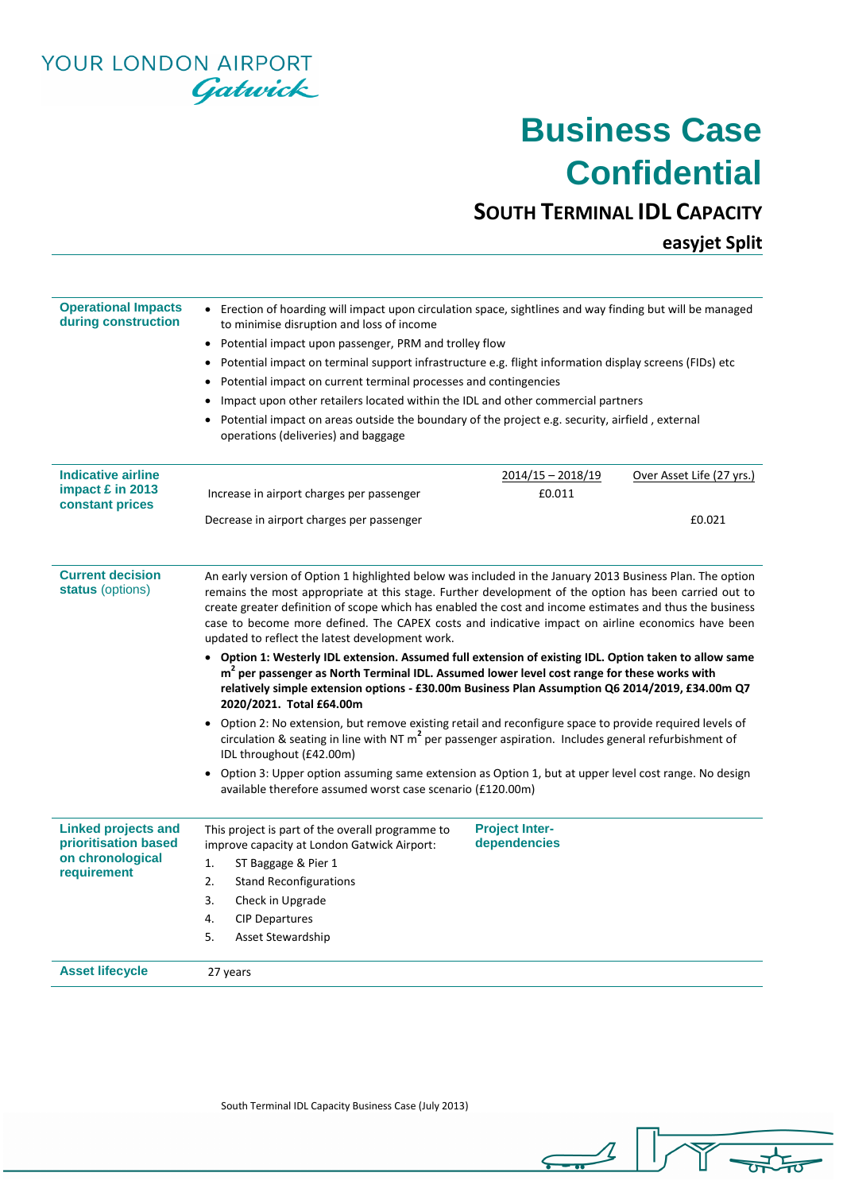YOUR LONDON AIRPORT Gatwick

### **Business Case Confidential**

#### **SOUTH TERMINAL IDL CAPACITY**

**easyjet Split**

| <b>Operational Impacts</b>                         |                                                                                                                                                                                                                                                                                                                                                                                                                                                                                        |                     |                           |  |  |  |  |  |  |
|----------------------------------------------------|----------------------------------------------------------------------------------------------------------------------------------------------------------------------------------------------------------------------------------------------------------------------------------------------------------------------------------------------------------------------------------------------------------------------------------------------------------------------------------------|---------------------|---------------------------|--|--|--|--|--|--|
| during construction                                | • Erection of hoarding will impact upon circulation space, sightlines and way finding but will be managed<br>to minimise disruption and loss of income                                                                                                                                                                                                                                                                                                                                 |                     |                           |  |  |  |  |  |  |
|                                                    | • Potential impact upon passenger, PRM and trolley flow                                                                                                                                                                                                                                                                                                                                                                                                                                |                     |                           |  |  |  |  |  |  |
|                                                    | • Potential impact on terminal support infrastructure e.g. flight information display screens (FIDs) etc                                                                                                                                                                                                                                                                                                                                                                               |                     |                           |  |  |  |  |  |  |
|                                                    | • Potential impact on current terminal processes and contingencies                                                                                                                                                                                                                                                                                                                                                                                                                     |                     |                           |  |  |  |  |  |  |
|                                                    | Impact upon other retailers located within the IDL and other commercial partners                                                                                                                                                                                                                                                                                                                                                                                                       |                     |                           |  |  |  |  |  |  |
|                                                    | • Potential impact on areas outside the boundary of the project e.g. security, airfield, external                                                                                                                                                                                                                                                                                                                                                                                      |                     |                           |  |  |  |  |  |  |
|                                                    | operations (deliveries) and baggage                                                                                                                                                                                                                                                                                                                                                                                                                                                    |                     |                           |  |  |  |  |  |  |
| <b>Indicative airline</b>                          |                                                                                                                                                                                                                                                                                                                                                                                                                                                                                        | $2014/15 - 2018/19$ | Over Asset Life (27 yrs.) |  |  |  |  |  |  |
| impact £ in 2013<br>constant prices                | Increase in airport charges per passenger                                                                                                                                                                                                                                                                                                                                                                                                                                              | £0.011              |                           |  |  |  |  |  |  |
|                                                    | Decrease in airport charges per passenger                                                                                                                                                                                                                                                                                                                                                                                                                                              |                     | £0.021                    |  |  |  |  |  |  |
|                                                    |                                                                                                                                                                                                                                                                                                                                                                                                                                                                                        |                     |                           |  |  |  |  |  |  |
| <b>Current decision</b><br>status (options)        | An early version of Option 1 highlighted below was included in the January 2013 Business Plan. The option<br>remains the most appropriate at this stage. Further development of the option has been carried out to<br>create greater definition of scope which has enabled the cost and income estimates and thus the business<br>case to become more defined. The CAPEX costs and indicative impact on airline economics have been<br>updated to reflect the latest development work. |                     |                           |  |  |  |  |  |  |
|                                                    | • Option 1: Westerly IDL extension. Assumed full extension of existing IDL. Option taken to allow same<br>$m2$ per passenger as North Terminal IDL. Assumed lower level cost range for these works with<br>relatively simple extension options - £30.00m Business Plan Assumption Q6 2014/2019, £34.00m Q7<br>2020/2021. Total £64.00m                                                                                                                                                 |                     |                           |  |  |  |  |  |  |
|                                                    | Option 2: No extension, but remove existing retail and reconfigure space to provide required levels of<br>circulation & seating in line with NT $m^2$ per passenger aspiration. Includes general refurbishment of<br>IDL throughout (£42.00m)                                                                                                                                                                                                                                          |                     |                           |  |  |  |  |  |  |
|                                                    | • Option 3: Upper option assuming same extension as Option 1, but at upper level cost range. No design<br>available therefore assumed worst case scenario (£120.00m)                                                                                                                                                                                                                                                                                                                   |                     |                           |  |  |  |  |  |  |
| <b>Linked projects and</b><br>prioritisation based | <b>Project Inter-</b><br>This project is part of the overall programme to<br>dependencies<br>improve capacity at London Gatwick Airport:                                                                                                                                                                                                                                                                                                                                               |                     |                           |  |  |  |  |  |  |
| on chronological<br>requirement                    | 1.<br>ST Baggage & Pier 1                                                                                                                                                                                                                                                                                                                                                                                                                                                              |                     |                           |  |  |  |  |  |  |
|                                                    | 2.<br><b>Stand Reconfigurations</b>                                                                                                                                                                                                                                                                                                                                                                                                                                                    |                     |                           |  |  |  |  |  |  |
|                                                    | 3.<br>Check in Upgrade                                                                                                                                                                                                                                                                                                                                                                                                                                                                 |                     |                           |  |  |  |  |  |  |
|                                                    | 4.<br><b>CIP Departures</b>                                                                                                                                                                                                                                                                                                                                                                                                                                                            |                     |                           |  |  |  |  |  |  |
|                                                    | 5.<br><b>Asset Stewardship</b>                                                                                                                                                                                                                                                                                                                                                                                                                                                         |                     |                           |  |  |  |  |  |  |
|                                                    |                                                                                                                                                                                                                                                                                                                                                                                                                                                                                        |                     |                           |  |  |  |  |  |  |

South Terminal IDL Capacity Business Case (July 2013)

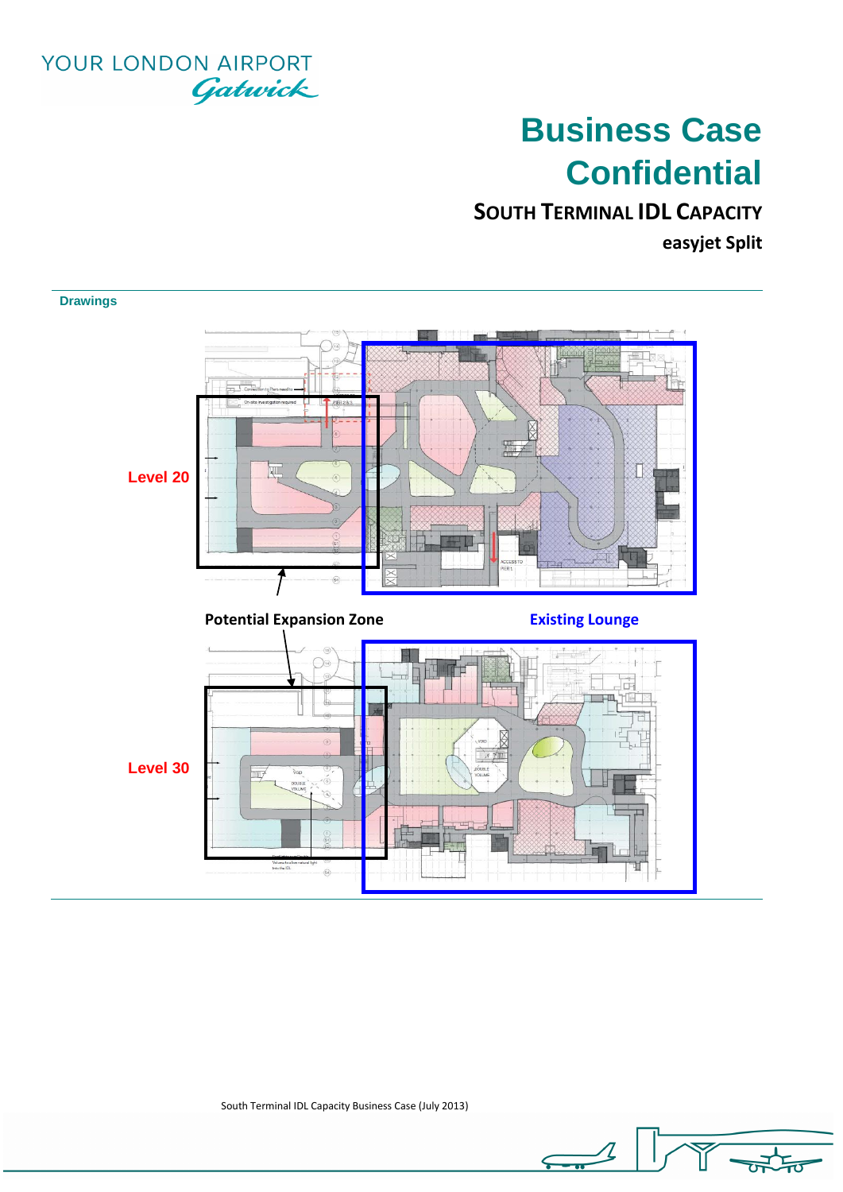

# **Business Case Confidential**

**SOUTH TERMINAL IDL CAPACITY**

**easyjet Split**



South Terminal IDL Capacity Business Case (July 2013)